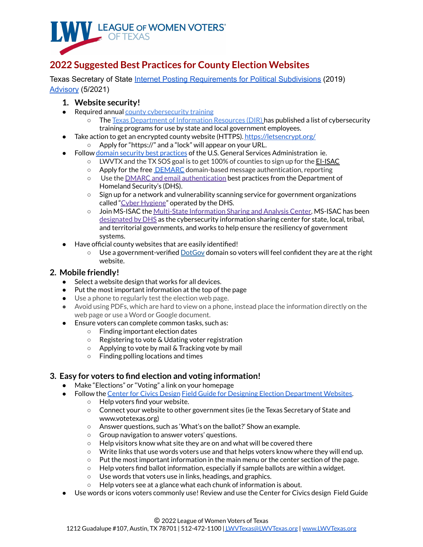

# **2022 Suggested Best Practices for County Election Websites**

Texas Secretary of State Internet Posting [Requirements](https://www.sos.state.tx.us/elections/forms/pol-sub/1-15f.pdf) for Political Subdivisions (2019) [Advisory](https://www.sos.texas.gov/elections/laws/advisory2021-23.shtml#_3._Notice_of) (5/2021)

## **1. Website security!**

- Required annual county [cybersecurity](https://dir.texas.gov/View-About-DIR/Information-Security/Pages/Content.aspx?id=154) training
	- The Texas [Department](https://dir.texas.gov/) of Information Resources (DIR) has published a list of cybersecurity training programs for use by state and local government employees.
- Take action to get an encrypted county website (HTTPS). <https://letsencrypt.org/>
	- Apply for "https://" and a "lock" will appear on your URL.
- Follow domain security best [practices](https://home.dotgov.gov/management/security-best-practices/) of the U.S. General Services Administration ie.
	- LWVTX and the TX SOS goal is to get 100% of counties to sign up for the **[EI-ISAC](https://learn.cisecurity.org/ei-isac-registration)**
	- Apply for the free **[DEMARC](https://dmarc.org/)** domain-based message authentication, reporting
	- o Use the **DMARC** and email [authentication](https://cyber.dhs.gov/bod/18-01/#introduction-to-email-authentication) best practices from the Department of Homeland Security's (DHS).
	- Sign up for a network and vulnerability scanning service for government organizations called "Cyber [Hygiene](https://www.us-cert.gov/resources/ncats)" operated by the DHS.
	- Join MS-ISAC the Multi-State [Information](https://learn.cisecurity.org/ms-isac-registration) Sharing and Analysis Center. MS-ISAC has been [designated](https://www.dhs.gov/topic/cybersecurity-information-sharing) by DHS as the cybersecurity information sharing center for state, local, tribal, and territorial governments, and works to help ensure the resiliency of government systems.
- Have official county websites that are easily identified!
	- $\circ$  Use a government-verified [DotGov](https://home.dotgov.gov/about/) domain so voters will feel confident they are at the right website.

## **2. Mobile friendly!**

- Select a website design that works for all devices.
- Put the most important information at the top of the page
- Use a phone to regularly test the election web page.
- Avoid using PDFs, which are hard to view on a phone, instead place the information directly on the web page or use a Word or Google document.
- Ensure voters can complete common tasks, such as:
	- Finding important election dates
	- Registering to vote & Udating voter registration
	- Applying to vote by mail & Tracking vote by mail
	- Finding polling locations and times

## **3. Easy for voters to find election and voting information!**

- Make "Elections" or "Voting" a link on your homepage
- Follow the [Center](https://civicdesign.org/) for Civics Design Field Guide for Designing Election [Department](https://civicdesign.org/fieldguides/designing-election-department-websites/) Websites.
	- Help voters find your website.
		- Connect your website to other government sites (ie the Texas Secretary of State and www.votetexas.org)
		- Answer questions, such as 'What's on the ballot?' Show an example.
		- Group navigation to answer voters' questions.
		- Help visitors know what site they are on and what will be covered there
		- Write links that use words voters use and that helps voters know where they will end up.
		- $\circ$  Put the most important information in the main menu or the center section of the page.
		- $\circ$  Help voters find ballot information, especially if sample ballots are within a widget.
		- Use words that voters use in links, headings, and graphics.
	- Help voters see at a glance what each chunk of information is about.
- Use words or icons voters commonly use! Review and use the Center for Civics design Field Guide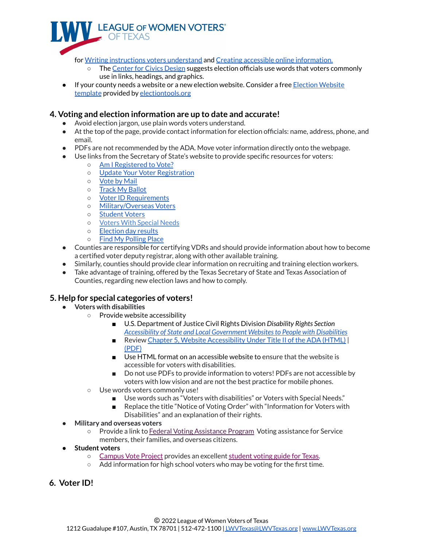

for Writing [instructions](https://civicdesign.org/fieldguides/writing-instructions-voters-understand/) voters understand and Creating accessible online [information.](https://civicdesign.org/fieldguides/creating-accessible-online-information/)

- The [Center](https://civicdesign.org/) for Civics Design suggests election officials use words that voters commonly use in links, headings, and graphics.
- If your county needs a website or a new election website. Consider a free Election [Website](https://electiontools.org/tool/election-website-template/) [template](https://electiontools.org/tool/election-website-template/) provided by [electiontools.org](https://electiontools.org/)

#### **4. Voting and election information are up to date and accurate!**

- Avoid election jargon, use plain words voters understand.
- At the top of the page, provide contact information for election officials: name, address, phone, and email.
- PDFs are not recommended by the ADA. Move voter information directly onto the webpage.
- Use links from the Secretary of State's website to provide specific resources for voters:
	- Am I [Registered](https://teamrv-mvp.sos.texas.gov/MVP/mvp.do) to Vote?
	- Update Your Voter [Registration](https://txapps.texas.gov/tolapp/sos/SOSACManager?utm_source=child_voter&utm_medium=main&utm_campaign=texasgov)
	- [Vote](https://www.sos.texas.gov/elections/voter/reqabbm.shtml) by Mail
	- o Track My [Ballot](https://teamrv-mvp.sos.texas.gov/BallotTrackerApp/#/login)
	- Voter ID [Requirements](https://www.votetexas.gov/register-to-vote/need-id.html)
	- [Military/Overseas](https://www.votetexas.gov/military-overseas-voters/index.html) Voters
	- [Student](https://www.votetexas.gov/voting/index.html#students) Voters
	- Voters With [Special](https://www.votetexas.gov/voters-with-special-needs/index.html) Needs
	- [Election](https://results.texas-election.com/county) day results
	- Find My [Polling](https://teamrv-mvp.sos.texas.gov/MVP/mvp.do) Place
- Counties are responsible for certifying VDRs and should provide information about how to become a certified voter deputy registrar, along with other available training.
- Similarly, counties should provide clear information on recruiting and training election workers.
- Take advantage of training, offered by the Texas Secretary of State and Texas Association of Counties, regarding new election laws and how to comply.

## **5. Help for special categories of voters!**

- **● Voters with disabilities**
	- Provide website accessibility
		- U.S. Department of Justice Civil Rights Division *Disability Rights Section Accessibility of State and Local [Government](https://www.ada.gov/websites2.htm) Websitesto People with Disabilities*
		- Review Chapter 5, Website [Accessibility](https://www.ada.gov/pcatoolkit/chap5toolkit.htm) Under Title II of the ADA (HTML) | [\(PDF\)](https://www.ada.gov/pcatoolkit/ch5_toolkit.pdf)
		- Use HTML format on an accessible website to ensure that the website is accessible for voters with disabilities.
		- Do not use PDFs to provide information to voters! PDFs are not accessible by voters with low vision and are not the best practice for mobile phones.
	- Use words voters commonly use!
		- Use words such as "Voters with disabilities" or Voters with Special Needs."
		- Replace the title "Notice of Voting Order" with "Information for Voters with Disabilities" and an explanation of their rights.
- **● Military and overseas voters**
	- Provide a link to Federal Voting [Assistance](https://www.fvap.gov/) Program Voting assistance for Service members, their families, and overseas citizens.
- **● Student voters**
	- [Campus](http://campusvoteproject.org/) Vote Project provides an excellent [student](https://www.campusvoteproject.org/stateguides/Texas) voting guide for Texas.
	- $\circ$  Add information for high school voters who may be voting for the first time.
- **6. Voter ID!**